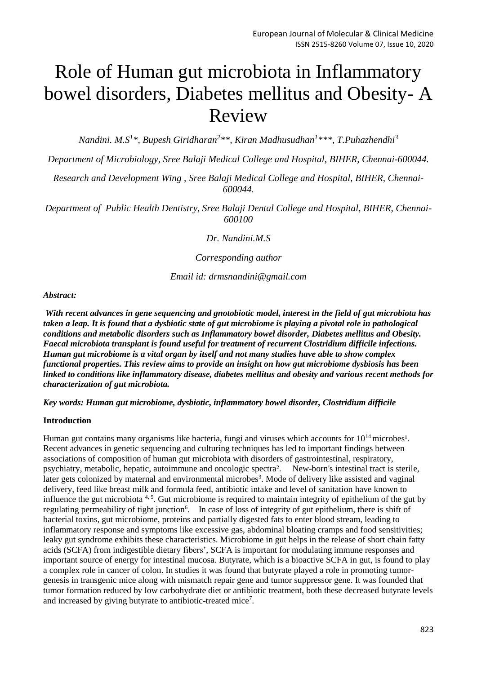# Role of Human gut microbiota in Inflammatory bowel disorders, Diabetes mellitus and Obesity- A Review

*Nandini. M.S<sup>1</sup> \*, Bupesh Giridharan<sup>2</sup> \*\*, Kiran Madhusudhan<sup>1</sup> \*\*\*, T.Puhazhendhi<sup>3</sup>*

*Department of Microbiology, Sree Balaji Medical College and Hospital, BIHER, Chennai-600044.*

*Research and Development Wing , Sree Balaji Medical College and Hospital, BIHER, Chennai-600044.*

*Department of Public Health Dentistry, Sree Balaji Dental College and Hospital, BIHER, Chennai-600100*

*Dr. Nandini.M.S*

*Corresponding author*

*Email id: drmsnandini@gmail.com*

### *Abstract:*

*With recent advances in gene sequencing and gnotobiotic model, interest in the field of gut microbiota has taken a leap. It is found that a dysbiotic state of gut microbiome is playing a pivotal role in pathological conditions and metabolic disorders such as Inflammatory bowel disorder, Diabetes mellitus and Obesity. Faecal microbiota transplant is found useful for treatment of recurrent Clostridium difficile infections. Human gut microbiome is a vital organ by itself and not many studies have able to show complex functional properties. This review aims to provide an insight on how gut microbiome dysbiosis has been linked to conditions like inflammatory disease, diabetes mellitus and obesity and various recent methods for characterization of gut microbiota.* 

*Key words: Human gut microbiome, dysbiotic, inflammatory bowel disorder, Clostridium difficile*

### **Introduction**

Human gut contains many organisms like bacteria, fungi and viruses which accounts for  $10^{14}$  microbes<sup>1</sup>. Recent advances in genetic sequencing and culturing techniques has led to important findings between associations of composition of human gut microbiota with disorders of gastrointestinal, respiratory, psychiatry, metabolic, hepatic, autoimmune and oncologic spectra². New-born's intestinal tract is sterile, later gets colonized by maternal and environmental microbes<sup>3</sup>. Mode of delivery like assisted and vaginal delivery, feed like breast milk and formula feed, antibiotic intake and level of sanitation have known to influence the gut microbiota  $4, 5$ . Gut microbiome is required to maintain integrity of epithelium of the gut by regulating permeability of tight junction<sup>6</sup>. In case of loss of integrity of gut epithelium, there is shift of bacterial toxins, gut microbiome, proteins and partially digested fats to enter blood stream, leading to inflammatory response and symptoms like excessive gas, abdominal bloating cramps and food sensitivities; leaky gut syndrome exhibits these characteristics. Microbiome in gut helps in the release of short chain fatty acids (SCFA) from indigestible dietary fibers', SCFA is important for modulating immune responses and important source of energy for intestinal mucosa. Butyrate, which is a bioactive SCFA in gut, is found to play a complex role in cancer of colon. In studies it was found that butyrate played a role in promoting tumorgenesis in transgenic mice along with mismatch repair gene and tumor suppressor gene. It was founded that tumor formation reduced by low carbohydrate diet or antibiotic treatment, both these decreased butyrate levels and increased by giving butyrate to antibiotic-treated mice<sup>7</sup>.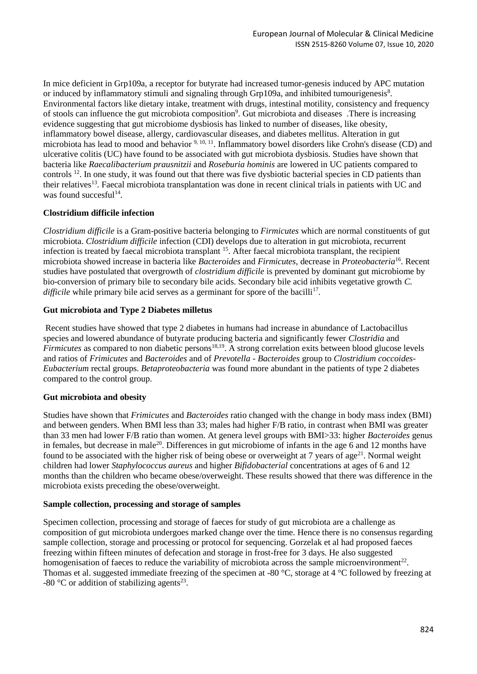In mice deficient in Grp109a, a receptor for butyrate had increased tumor-genesis induced by APC mutation or induced by inflammatory stimuli and signaling through Grp109a, and inhibited tumourigenesis<sup>8</sup>. Environmental factors like dietary intake, treatment with drugs, intestinal motility, consistency and frequency of stools can influence the gut microbiota composition<sup>9</sup>. Gut microbiota and diseases There is increasing evidence suggesting that gut microbiome dysbiosis has linked to number of diseases, like obesity, inflammatory bowel disease, allergy, cardiovascular diseases, and diabetes mellitus. Alteration in gut microbiota has lead to mood and behavior 9, 10, 11. Inflammatory bowel disorders like Crohn's disease (CD) and ulcerative colitis (UC) have found to be associated with gut microbiota dysbiosis. Studies have shown that bacteria like *Raecalibacterium prausnitzii* and *Roseburia hominis* are lowered in UC patients compared to controls <sup>12</sup>. In one study, it was found out that there was five dysbiotic bacterial species in CD patients than their relatives<sup>13</sup>. Faecal microbiota transplantation was done in recent clinical trials in patients with UC and was found succesful<sup>14</sup>.

# **Clostridium difficile infection**

*Clostridium difficile* is a Gram-positive bacteria belonging to *Firmicutes* which are normal constituents of gut microbiota. *Clostridium difficile* infection (CDI) develops due to alteration in gut microbiota, recurrent infection is treated by faecal microbiota transplant <sup>15</sup>. After faecal microbiota transplant, the recipient microbiota showed increase in bacteria like *Bacteroides* and *Firmicutes*, decrease in *Proteobacteria*<sup>16</sup> . Recent studies have postulated that overgrowth of *clostridium difficile* is prevented by dominant gut microbiome by bio-conversion of primary bile to secondary bile acids. Secondary bile acid inhibits vegetative growth *C.*  difficile while primary bile acid serves as a germinant for spore of the bacilli<sup>17</sup>.

# **Gut microbiota and Type 2 Diabetes milletus**

Recent studies have showed that type 2 diabetes in humans had increase in abundance of Lactobacillus species and lowered abundance of butyrate producing bacteria and significantly fewer *Clostridia* and *Firmicutes* as compared to non diabetic persons<sup>18,19</sup>. A strong correlation exits between blood glucose levels and ratios of *Frimicutes* and *Bacteroides* and of *Prevotella - Bacteroides* group to *Clostridium coccoides-Eubacterium* rectal groups. *Betaproteobacteria* was found more abundant in the patients of type 2 diabetes compared to the control group.

# **Gut microbiota and obesity**

Studies have shown that *Frimicutes* and *Bacteroides* ratio changed with the change in body mass index (BMI) and between genders. When BMI less than 33; males had higher F/B ratio, in contrast when BMI was greater than 33 men had lower F/B ratio than women. At genera level groups with BMI>33: higher *Bacteroides* genus in females, but decrease in male<sup>20</sup>. Differences in gut microbiome of infants in the age 6 and 12 months have found to be associated with the higher risk of being obese or overweight at 7 years of age<sup>21</sup>. Normal weight children had lower *Staphylococcus aureus* and higher *Bifidobacterial* concentrations at ages of 6 and 12 months than the children who became obese/overweight. These results showed that there was difference in the microbiota exists preceding the obese/overweight.

# **Sample collection, processing and storage of samples**

Specimen collection, processing and storage of faeces for study of gut microbiota are a challenge as composition of gut microbiota undergoes marked change over the time. Hence there is no consensus regarding sample collection, storage and processing or protocol for sequencing. Gorzelak et al had proposed faeces freezing within fifteen minutes of defecation and storage in frost-free for 3 days. He also suggested homogenisation of faeces to reduce the variability of microbiota across the sample microenvironment<sup>22</sup>. Thomas et al. suggested immediate freezing of the specimen at -80 °C, storage at 4 °C followed by freezing at -80  $^{\circ}$ C or addition of stabilizing agents<sup>23</sup>.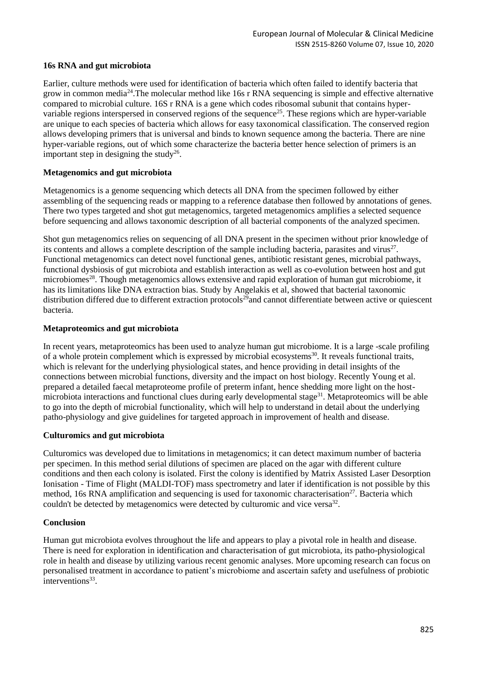## **16s RNA and gut microbiota**

Earlier, culture methods were used for identification of bacteria which often failed to identify bacteria that grow in common media<sup>24</sup>.The molecular method like 16s r RNA sequencing is simple and effective alternative compared to microbial culture. 16S r RNA is a gene which codes ribosomal subunit that contains hypervariable regions interspersed in conserved regions of the sequence<sup>25</sup>. These regions which are hyper-variable are unique to each species of bacteria which allows for easy taxonomical classification. The conserved region allows developing primers that is universal and binds to known sequence among the bacteria. There are nine hyper-variable regions, out of which some characterize the bacteria better hence selection of primers is an important step in designing the study<sup>26</sup>.

## **Metagenomics and gut microbiota**

Metagenomics is a genome sequencing which detects all DNA from the specimen followed by either assembling of the sequencing reads or mapping to a reference database then followed by annotations of genes. There two types targeted and shot gut metagenomics, targeted metagenomics amplifies a selected sequence before sequencing and allows taxonomic description of all bacterial components of the analyzed specimen.

Shot gun metagenomics relies on sequencing of all DNA present in the specimen without prior knowledge of its contents and allows a complete description of the sample including bacteria, parasites and virus $27$ . Functional metagenomics can detect novel functional genes, antibiotic resistant genes, microbial pathways, functional dysbiosis of gut microbiota and establish interaction as well as co-evolution between host and gut microbiomes<sup>28</sup>. Though metagenomics allows extensive and rapid exploration of human gut microbiome, it has its limitations like DNA extraction bias. Study by Angelakis et al, showed that bacterial taxonomic distribution differed due to different extraction protocols<sup>29</sup>and cannot differentiate between active or quiescent bacteria.

## **Metaproteomics and gut microbiota**

In recent years, metaproteomics has been used to analyze human gut microbiome. It is a large -scale profiling of a whole protein complement which is expressed by microbial ecosystems<sup>30</sup>. It reveals functional traits, which is relevant for the underlying physiological states, and hence providing in detail insights of the connections between microbial functions, diversity and the impact on host biology. Recently Young et al. prepared a detailed faecal metaproteome profile of preterm infant, hence shedding more light on the hostmicrobiota interactions and functional clues during early developmental stage<sup>31</sup>. Metaproteomics will be able to go into the depth of microbial functionality, which will help to understand in detail about the underlying patho-physiology and give guidelines for targeted approach in improvement of health and disease.

### **Culturomics and gut microbiota**

Culturomics was developed due to limitations in metagenomics; it can detect maximum number of bacteria per specimen. In this method serial dilutions of specimen are placed on the agar with different culture conditions and then each colony is isolated. First the colony is identified by Matrix Assisted Laser Desorption Ionisation - Time of Flight (MALDI-TOF) mass spectrometry and later if identification is not possible by this method, 16s RNA amplification and sequencing is used for taxonomic characterisation<sup>27</sup>. Bacteria which couldn't be detected by metagenomics were detected by culturomic and vice versa<sup>32</sup>.

### **Conclusion**

Human gut microbiota evolves throughout the life and appears to play a pivotal role in health and disease. There is need for exploration in identification and characterisation of gut microbiota, its patho-physiological role in health and disease by utilizing various recent genomic analyses. More upcoming research can focus on personalised treatment in accordance to patient's microbiome and ascertain safety and usefulness of probiotic interventions<sup>33</sup>.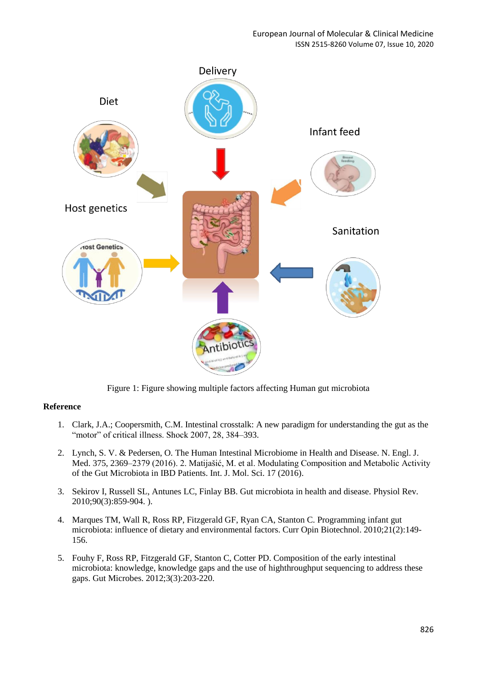

Figure 1: Figure showing multiple factors affecting Human gut microbiota

# **Reference**

- 1. Clark, J.A.; Coopersmith, C.M. Intestinal crosstalk: A new paradigm for understanding the gut as the "motor" of critical illness. Shock 2007, 28, 384–393.
- 2. Lynch, S. V. & Pedersen, O. The Human Intestinal Microbiome in Health and Disease. N. Engl. J. Med. 375, 2369–2379 (2016). 2. Matijašić, M. et al. Modulating Composition and Metabolic Activity of the Gut Microbiota in IBD Patients. Int. J. Mol. Sci. 17 (2016).
- 3. Sekirov I, Russell SL, Antunes LC, Finlay BB. Gut microbiota in health and disease. Physiol Rev. 2010;90(3):859-904. ).
- 4. Marques TM, Wall R, Ross RP, Fitzgerald GF, Ryan CA, Stanton C. Programming infant gut microbiota: influence of dietary and environmental factors. Curr Opin Biotechnol. 2010;21(2):149- 156.
- 5. Fouhy F, Ross RP, Fitzgerald GF, Stanton C, Cotter PD. Composition of the early intestinal microbiota: knowledge, knowledge gaps and the use of highthroughput sequencing to address these gaps. Gut Microbes. 2012;3(3):203-220.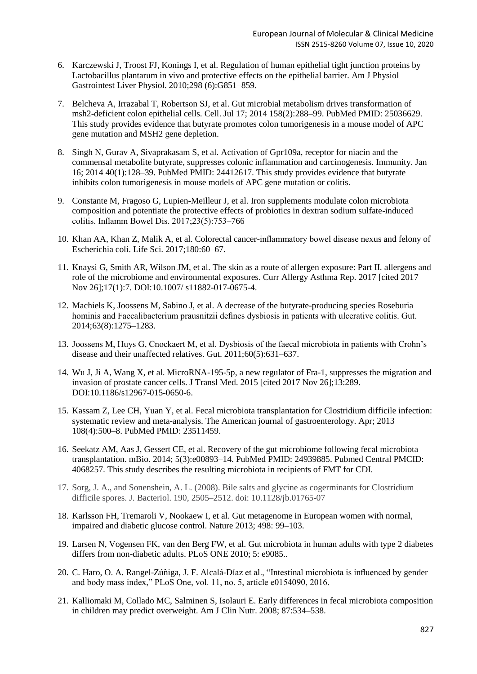- 6. Karczewski J, Troost FJ, Konings I, et al. Regulation of human epithelial tight junction proteins by Lactobacillus plantarum in vivo and protective effects on the epithelial barrier. Am J Physiol Gastrointest Liver Physiol. 2010;298 (6):G851–859.
- 7. Belcheva A, Irrazabal T, Robertson SJ, et al. Gut microbial metabolism drives transformation of msh2-deficient colon epithelial cells. Cell. Jul 17; 2014 158(2):288–99. PubMed PMID: 25036629. This study provides evidence that butyrate promotes colon tumorigenesis in a mouse model of APC gene mutation and MSH2 gene depletion.
- 8. Singh N, Gurav A, Sivaprakasam S, et al. Activation of Gpr109a, receptor for niacin and the commensal metabolite butyrate, suppresses colonic inflammation and carcinogenesis. Immunity. Jan 16; 2014 40(1):128–39. PubMed PMID: 24412617. This study provides evidence that butyrate inhibits colon tumorigenesis in mouse models of APC gene mutation or colitis.
- 9. Constante M, Fragoso G, Lupien-Meilleur J, et al. Iron supplements modulate colon microbiota composition and potentiate the protective effects of probiotics in dextran sodium sulfate-induced colitis. Inflamm Bowel Dis. 2017;23(5):753–766
- 10. Khan AA, Khan Z, Malik A, et al. Colorectal cancer-inflammatory bowel disease nexus and felony of Escherichia coli. Life Sci. 2017;180:60–67.
- 11. Knaysi G, Smith AR, Wilson JM, et al. The skin as a route of allergen exposure: Part II. allergens and role of the microbiome and environmental exposures. Curr Allergy Asthma Rep. 2017 [cited 2017 Nov 26];17(1):7. DOI:10.1007/ s11882-017-0675-4.
- 12. Machiels K, Joossens M, Sabino J, et al. A decrease of the butyrate-producing species Roseburia hominis and Faecalibacterium prausnitzii defines dysbiosis in patients with ulcerative colitis. Gut. 2014;63(8):1275–1283.
- 13. Joossens M, Huys G, Cnockaert M, et al. Dysbiosis of the faecal microbiota in patients with Crohn's disease and their unaffected relatives. Gut. 2011;60(5):631–637.
- 14. Wu J, Ji A, Wang X, et al. MicroRNA-195-5p, a new regulator of Fra-1, suppresses the migration and invasion of prostate cancer cells. J Transl Med. 2015 [cited 2017 Nov 26];13:289. DOI:10.1186/s12967-015-0650-6.
- 15. Kassam Z, Lee CH, Yuan Y, et al. Fecal microbiota transplantation for Clostridium difficile infection: systematic review and meta-analysis. The American journal of gastroenterology. Apr; 2013 108(4):500–8. PubMed PMID: 23511459.
- 16. Seekatz AM, Aas J, Gessert CE, et al. Recovery of the gut microbiome following fecal microbiota transplantation. mBio. 2014; 5(3):e00893–14. PubMed PMID: 24939885. Pubmed Central PMCID: 4068257. This study describes the resulting microbiota in recipients of FMT for CDI.
- 17. Sorg, J. A., and Sonenshein, A. L. (2008). Bile salts and glycine as cogerminants for Clostridium difficile spores. J. Bacteriol. 190, 2505–2512. doi: 10.1128/jb.01765-07
- 18. Karlsson FH, Tremaroli V, Nookaew I, et al. Gut metagenome in European women with normal, impaired and diabetic glucose control. Nature 2013; 498: 99–103.
- 19. Larsen N, Vogensen FK, van den Berg FW, et al. Gut microbiota in human adults with type 2 diabetes differs from non-diabetic adults. PLoS ONE 2010; 5: e9085..
- 20. C. Haro, O. A. Rangel-Zúñiga, J. F. Alcalá-Díaz et al., "Intestinal microbiota is influenced by gender and body mass index," PLoS One, vol. 11, no. 5, article e0154090, 2016.
- 21. Kalliomaki M, Collado MC, Salminen S, Isolauri E. Early differences in fecal microbiota composition in children may predict overweight. Am J Clin Nutr. 2008; 87:534–538.